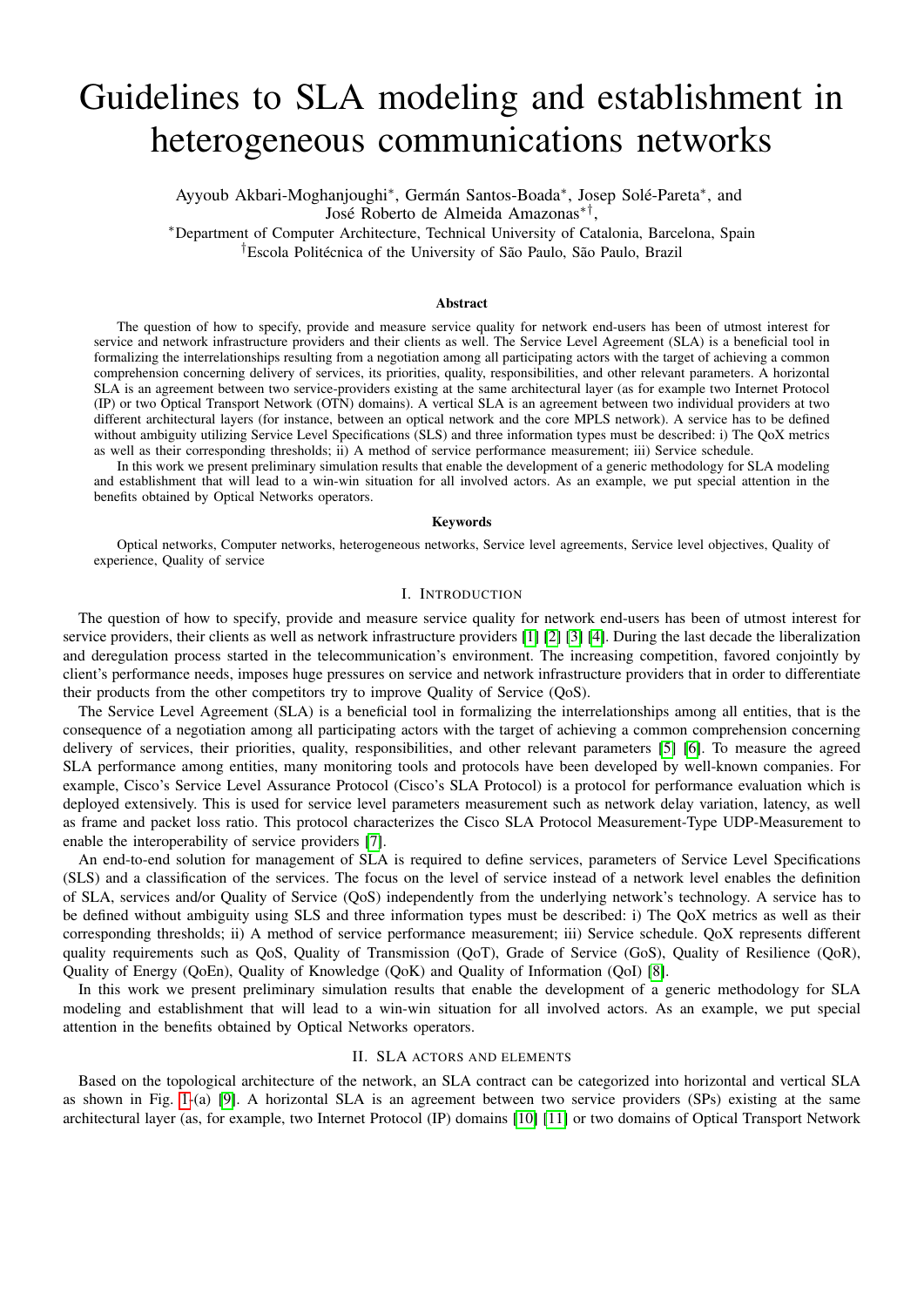# Guidelines to SLA modeling and establishment in heterogeneous communications networks

Ayyoub Akbari-Moghanjoughi<sup>∗</sup> , Germán Santos-Boada<sup>∗</sup> , Josep Solé-Pareta<sup>∗</sup> , and José Roberto de Almeida Amazonas∗† ,

<sup>∗</sup>Department of Computer Architecture, Technical University of Catalonia, Barcelona, Spain †Escola Politécnica of the University of São Paulo, São Paulo, Brazil

#### Abstract

The question of how to specify, provide and measure service quality for network end-users has been of utmost interest for service and network infrastructure providers and their clients as well. The Service Level Agreement (SLA) is a beneficial tool in formalizing the interrelationships resulting from a negotiation among all participating actors with the target of achieving a common comprehension concerning delivery of services, its priorities, quality, responsibilities, and other relevant parameters. A horizontal SLA is an agreement between two service-providers existing at the same architectural layer (as for example two Internet Protocol (IP) or two Optical Transport Network (OTN) domains). A vertical SLA is an agreement between two individual providers at two different architectural layers (for instance, between an optical network and the core MPLS network). A service has to be defined without ambiguity utilizing Service Level Specifications (SLS) and three information types must be described: i) The QoX metrics as well as their corresponding thresholds; ii) A method of service performance measurement; iii) Service schedule.

In this work we present preliminary simulation results that enable the development of a generic methodology for SLA modeling and establishment that will lead to a win-win situation for all involved actors. As an example, we put special attention in the benefits obtained by Optical Networks operators.

## Keywords

Optical networks, Computer networks, heterogeneous networks, Service level agreements, Service level objectives, Quality of experience, Quality of service

## I. INTRODUCTION

The question of how to specify, provide and measure service quality for network end-users has been of utmost interest for service providers, their clients as well as network infrastructure providers [\[1\]](#page-3-0) [\[2\]](#page-3-1) [\[3\]](#page-3-2) [\[4\]](#page-3-3). During the last decade the liberalization and deregulation process started in the telecommunication's environment. The increasing competition, favored conjointly by client's performance needs, imposes huge pressures on service and network infrastructure providers that in order to differentiate their products from the other competitors try to improve Quality of Service (QoS).

The Service Level Agreement (SLA) is a beneficial tool in formalizing the interrelationships among all entities, that is the consequence of a negotiation among all participating actors with the target of achieving a common comprehension concerning delivery of services, their priorities, quality, responsibilities, and other relevant parameters [\[5\]](#page-3-4) [\[6\]](#page-3-5). To measure the agreed SLA performance among entities, many monitoring tools and protocols have been developed by well-known companies. For example, Cisco's Service Level Assurance Protocol (Cisco's SLA Protocol) is a protocol for performance evaluation which is deployed extensively. This is used for service level parameters measurement such as network delay variation, latency, as well as frame and packet loss ratio. This protocol characterizes the Cisco SLA Protocol Measurement-Type UDP-Measurement to enable the interoperability of service providers [\[7\]](#page-3-6).

An end-to-end solution for management of SLA is required to define services, parameters of Service Level Specifications (SLS) and a classification of the services. The focus on the level of service instead of a network level enables the definition of SLA, services and/or Quality of Service (QoS) independently from the underlying network's technology. A service has to be defined without ambiguity using SLS and three information types must be described: i) The QoX metrics as well as their corresponding thresholds; ii) A method of service performance measurement; iii) Service schedule. QoX represents different quality requirements such as QoS, Quality of Transmission (QoT), Grade of Service (GoS), Quality of Resilience (QoR), Quality of Energy (QoEn), Quality of Knowledge (QoK) and Quality of Information (QoI) [\[8\]](#page-3-7).

In this work we present preliminary simulation results that enable the development of a generic methodology for SLA modeling and establishment that will lead to a win-win situation for all involved actors. As an example, we put special attention in the benefits obtained by Optical Networks operators.

## II. SLA ACTORS AND ELEMENTS

Based on the topological architecture of the network, an SLA contract can be categorized into horizontal and vertical SLA as shown in Fig. [1-](#page-1-0)(a) [\[9\]](#page-3-8). A horizontal SLA is an agreement between two service providers (SPs) existing at the same architectural layer (as, for example, two Internet Protocol (IP) domains [\[10\]](#page-3-9) [\[11\]](#page-3-10) or two domains of Optical Transport Network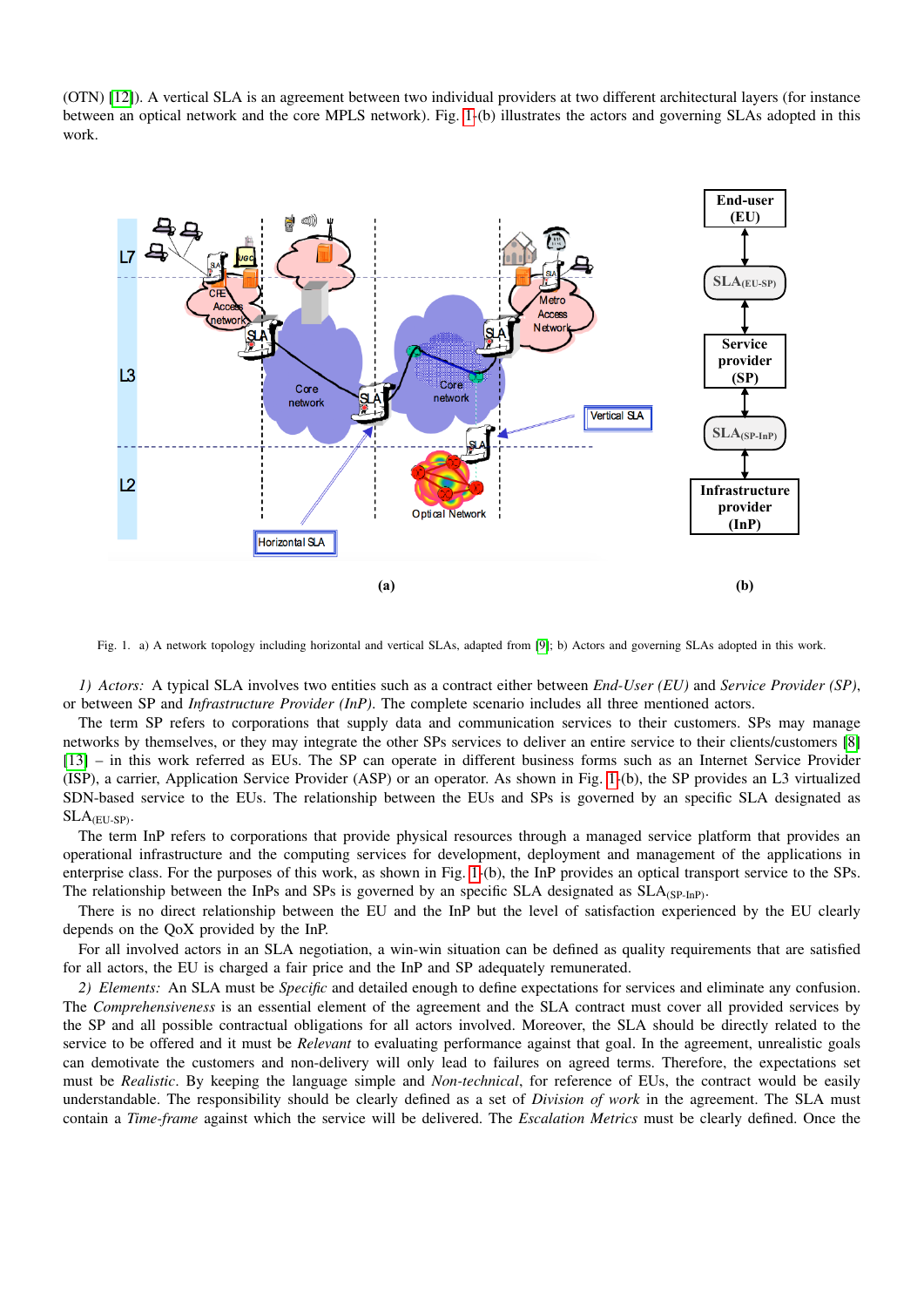(OTN) [\[12\]](#page-3-11)). A vertical SLA is an agreement between two individual providers at two different architectural layers (for instance between an optical network and the core MPLS network). Fig. [1-](#page-1-0)(b) illustrates the actors and governing SLAs adopted in this work.



<span id="page-1-0"></span>Fig. 1. a) A network topology including horizontal and vertical SLAs, adapted from [\[9\]](#page-3-8); b) Actors and governing SLAs adopted in this work.

*1) Actors:* A typical SLA involves two entities such as a contract either between *End-User (EU)* and *Service Provider (SP)*, or between SP and *Infrastructure Provider (InP)*. The complete scenario includes all three mentioned actors.

The term SP refers to corporations that supply data and communication services to their customers. SPs may manage networks by themselves, or they may integrate the other SPs services to deliver an entire service to their clients/customers [\[8\]](#page-3-7) [\[13\]](#page-3-12) – in this work referred as EUs. The SP can operate in different business forms such as an Internet Service Provider (ISP), a carrier, Application Service Provider (ASP) or an operator. As shown in Fig. [1-](#page-1-0)(b), the SP provides an L3 virtualized SDN-based service to the EUs. The relationship between the EUs and SPs is governed by an specific SLA designated as  $SLA$ <sub>(EU-SP)</sub>.

The term InP refers to corporations that provide physical resources through a managed service platform that provides an operational infrastructure and the computing services for development, deployment and management of the applications in enterprise class. For the purposes of this work, as shown in Fig. [1-](#page-1-0)(b), the InP provides an optical transport service to the SPs. The relationship between the InPs and SPs is governed by an specific SLA designated as  $SLA_{(SP-Imp)}$ .

There is no direct relationship between the EU and the InP but the level of satisfaction experienced by the EU clearly depends on the QoX provided by the InP.

For all involved actors in an SLA negotiation, a win-win situation can be defined as quality requirements that are satisfied for all actors, the EU is charged a fair price and the InP and SP adequately remunerated.

*2) Elements:* An SLA must be *Specific* and detailed enough to define expectations for services and eliminate any confusion. The *Comprehensiveness* is an essential element of the agreement and the SLA contract must cover all provided services by the SP and all possible contractual obligations for all actors involved. Moreover, the SLA should be directly related to the service to be offered and it must be *Relevant* to evaluating performance against that goal. In the agreement, unrealistic goals can demotivate the customers and non-delivery will only lead to failures on agreed terms. Therefore, the expectations set must be *Realistic*. By keeping the language simple and *Non-technical*, for reference of EUs, the contract would be easily understandable. The responsibility should be clearly defined as a set of *Division of work* in the agreement. The SLA must contain a *Time-frame* against which the service will be delivered. The *Escalation Metrics* must be clearly defined. Once the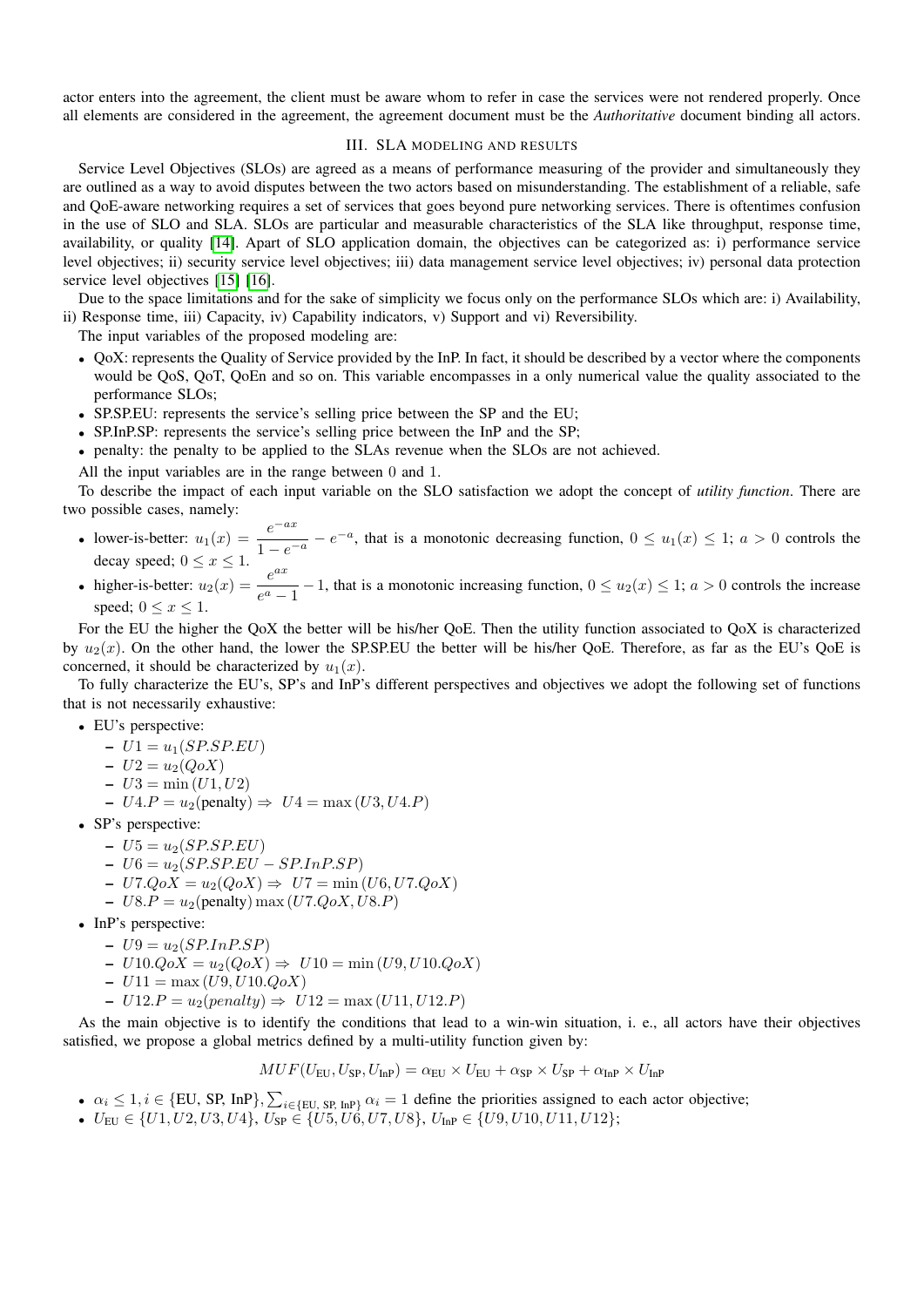actor enters into the agreement, the client must be aware whom to refer in case the services were not rendered properly. Once all elements are considered in the agreement, the agreement document must be the *Authoritative* document binding all actors.

# III. SLA MODELING AND RESULTS

Service Level Objectives (SLOs) are agreed as a means of performance measuring of the provider and simultaneously they are outlined as a way to avoid disputes between the two actors based on misunderstanding. The establishment of a reliable, safe and QoE-aware networking requires a set of services that goes beyond pure networking services. There is oftentimes confusion in the use of SLO and SLA. SLOs are particular and measurable characteristics of the SLA like throughput, response time, availability, or quality [\[14\]](#page-3-13). Apart of SLO application domain, the objectives can be categorized as: i) performance service level objectives; ii) security service level objectives; iii) data management service level objectives; iv) personal data protection service level objectives [\[15\]](#page-3-14) [\[16\]](#page-3-15).

Due to the space limitations and for the sake of simplicity we focus only on the performance SLOs which are: i) Availability, ii) Response time, iii) Capacity, iv) Capability indicators, v) Support and vi) Reversibility.

The input variables of the proposed modeling are:

- QoX: represents the Quality of Service provided by the InP. In fact, it should be described by a vector where the components would be QoS, QoT, QoEn and so on. This variable encompasses in a only numerical value the quality associated to the performance SLOs;
- SP.SP.EU: represents the service's selling price between the SP and the EU;
- SP.InP.SP: represents the service's selling price between the InP and the SP;
- penalty: the penalty to be applied to the SLAs revenue when the SLOs are not achieved.

All the input variables are in the range between 0 and 1.

To describe the impact of each input variable on the SLO satisfaction we adopt the concept of *utility function*. There are two possible cases, namely:

- lower-is-better:  $u_1(x) = \frac{e^{-ax}}{1-x^{-2}}$  $\frac{e}{1-e^{-a}} - e^{-a}$ , that is a monotonic decreasing function,  $0 \le u_1(x) \le 1$ ;  $a > 0$  controls the decay speed;  $0 \le x \le 1$ .
- higher-is-better:  $u_2(x) = \frac{e^{ax}}{a^a}$  $\frac{c}{e^a-1}$  – 1, that is a monotonic increasing function,  $0 \le u_2(x) \le 1$ ;  $a > 0$  controls the increase speed;  $0 \le x \le 1$ .

For the EU the higher the QoX the better will be his/her QoE. Then the utility function associated to QoX is characterized by  $u_2(x)$ . On the other hand, the lower the SP.SP.EU the better will be his/her QoE. Therefore, as far as the EU's QoE is concerned, it should be characterized by  $u_1(x)$ .

To fully characterize the EU's, SP's and InP's different perspectives and objectives we adopt the following set of functions that is not necessarily exhaustive:

• EU's perspective:

 $- U1 = u_1(SP.SP.EU)$ 

$$
- U2 = u_2(QoX)
$$

 $- U3 = \min(U1, U2)$ 

- 
$$
U4.P = u_2(\text{penalty}) \Rightarrow U4 = \max(U3, U4.P)
$$

- SP's perspective:
	- $U5 = u_2(SP.SP.EU)$
	- U6 = u2(SP.SP.EU − SP.InP.SP)
	- $U7.QoX = u_2(QoX) \Rightarrow U7 = min(U6, U7.QoX)$
	- $U8.P = u_2(\text{penalty}) \max (U7.QoX, US.P)$
- InP's perspective:
	- $U9 = u_2(SP, InP, SP)$
	- U10.QoX = u2(QoX) ⇒ U10 = min (U9, U10.QoX)
	- $U11 = \max(U9, U10.QoX)$
	- $U12.P = u_2(\text{penalty}) \Rightarrow U12 = \max(U11, U12.P)$

As the main objective is to identify the conditions that lead to a win-win situation, i. e., all actors have their objectives satisfied, we propose a global metrics defined by a multi-utility function given by:

$$
MUF(U_{EU}, U_{SP}, U_{InP}) = \alpha_{EU} \times U_{EU} + \alpha_{SP} \times U_{SP} + \alpha_{InP} \times U_{InP}
$$

- $\alpha_i \leq 1, i \in \{EU, SP, \text{InP}\}, \sum_{i \in \{EU, SP, \text{InP}\}} \alpha_i = 1$  define the priorities assigned to each actor objective;
- $U_{\text{EU}} \in \{U_1, U_2, U_3, U_4\}, \overline{U_{\text{SP}}} \in \{U_5, U_6, U_7, U_8\}, \ U_{\text{InP}} \in \{U_9, U_{10}, U_{11}, U_{12}\};$